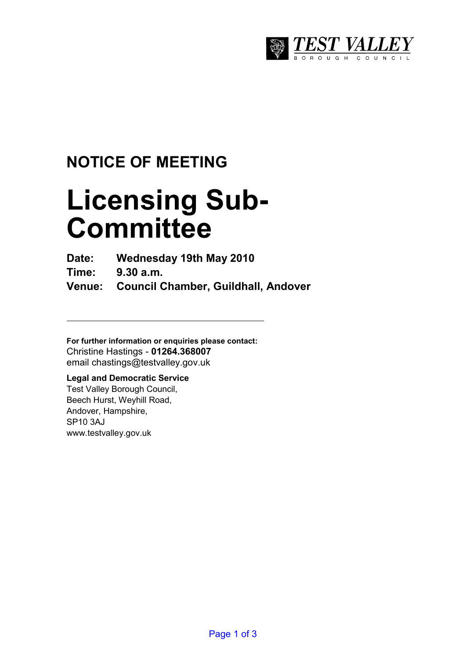

# **NOTICE OF MEETING**

# **Licensing Sub-Committee**

**Date: Wednesday 19th May 2010** 

**Time: 9.30 a.m.** 

**Venue: Council Chamber, Guildhall, Andover** 

**For further information or enquiries please contact:**  Christine Hastings - **01264.368007** email chastings@testvalley.gov.uk

## **Legal and Democratic Service**

Test Valley Borough Council, Beech Hurst, Weyhill Road, Andover, Hampshire, SP10 3AJ www.testvalley.gov.uk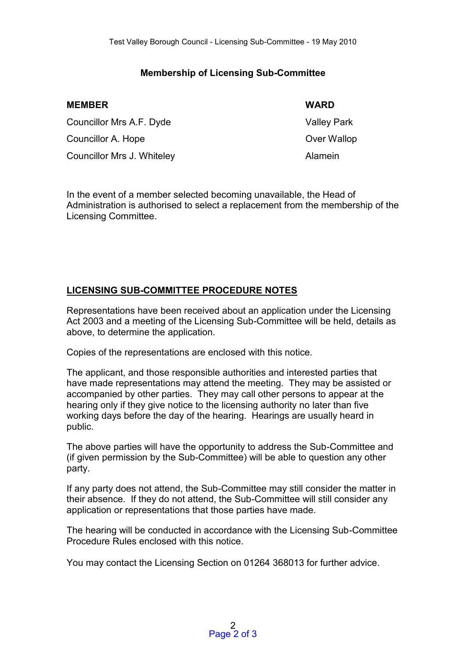#### **Membership of Licensing Sub-Committee**

| <b>MEMBER</b>              | <b>WARD</b>        |
|----------------------------|--------------------|
| Councillor Mrs A.F. Dyde   | <b>Valley Park</b> |
| Councillor A. Hope         | Over Wallop        |
| Councillor Mrs J. Whiteley | Alamein            |

In the event of a member selected becoming unavailable, the Head of Administration is authorised to select a replacement from the membership of the Licensing Committee.

### **LICENSING SUB-COMMITTEE PROCEDURE NOTES**

Representations have been received about an application under the Licensing Act 2003 and a meeting of the Licensing Sub-Committee will be held, details as above, to determine the application.

Copies of the representations are enclosed with this notice.

The applicant, and those responsible authorities and interested parties that have made representations may attend the meeting. They may be assisted or accompanied by other parties. They may call other persons to appear at the hearing only if they give notice to the licensing authority no later than five working days before the day of the hearing. Hearings are usually heard in public.

The above parties will have the opportunity to address the Sub-Committee and (if given permission by the Sub-Committee) will be able to question any other party.

If any party does not attend, the Sub-Committee may still consider the matter in their absence. If they do not attend, the Sub-Committee will still consider any application or representations that those parties have made.

The hearing will be conducted in accordance with the Licensing Sub-Committee Procedure Rules enclosed with this notice.

You may contact the Licensing Section on 01264 368013 for further advice.